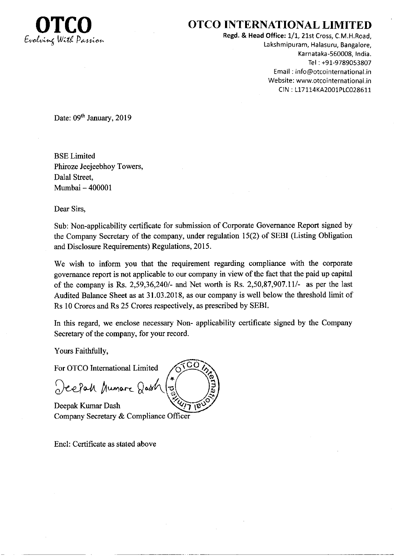

## OTCO INTERNATIONAL LIMITED

Regd. & Head Office: 1/1, 21st Cross, C.M.H.Road, Lakshmipuram, Halasuru, Bangalore, Karnataka-560008, India. Tel : +91-9789053807 Email : info@otcointernational.in Website: www.otcointernational.in CIN : 117114K42001P1C028611

Date: 09<sup>th</sup> January, 2019

BSE Limited Phiroze Jeejeebhoy Towers, Dalal Street, Mumbai - <sup>400001</sup>

Dear Sirs,

Sub: Non-applicability certificate for submission of Corporate Govemance Report signed by the Company Secretary of the company, under regulation 15(2) of SEBI (Listing Obligation and Disclosure Requirements) Regulations, 2015.

We wish to inform you that the requirement regarding compliance with the corporate govemance report is not applicable to our company in view of the fact that the paid up capital of the company is Rs. 2,59,36,240/- and Net worth is Rs. 2,50,87,907.11/- as per the last Audited Balance Sheet as at 31.03.2018, as our company is well below the threshold limit of Rs 10 Crores and Rs 25 Crores respectively, as prescribed by SEBI.

In this regard, we enclose necessary Non- applicability certificate signed by the Compaay Secretary of the company, for your record.

Yours Faithfully,

For OTCO International Limited

Deepah Mumare Qash

Deepak Kumar Dash Company Secretary & Compliance Officer

Encl: Certificate as stated above